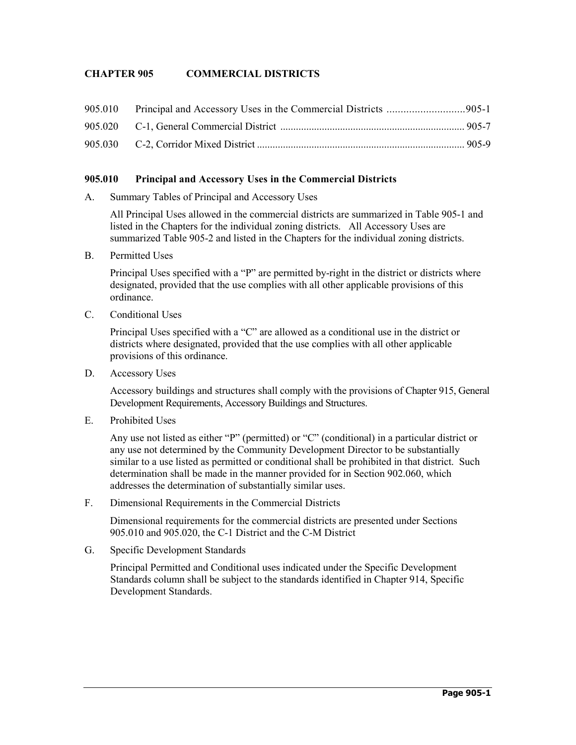# **CHAPTER 905 COMMERCIAL DISTRICTS**

### **905.010 Principal and Accessory Uses in the Commercial Districts**

A. Summary Tables of Principal and Accessory Uses

All Principal Uses allowed in the commercial districts are summarized in Table 905-1 and listed in the Chapters for the individual zoning districts. All Accessory Uses are summarized Table 905-2 and listed in the Chapters for the individual zoning districts.

B. Permitted Uses

Principal Uses specified with a "P" are permitted by-right in the district or districts where designated, provided that the use complies with all other applicable provisions of this ordinance.

C. Conditional Uses

Principal Uses specified with a "C" are allowed as a conditional use in the district or districts where designated, provided that the use complies with all other applicable provisions of this ordinance.

D. Accessory Uses

Accessory buildings and structures shall comply with the provisions of Chapter 915, General Development Requirements, Accessory Buildings and Structures.

E. Prohibited Uses

Any use not listed as either "P" (permitted) or "C" (conditional) in a particular district or any use not determined by the Community Development Director to be substantially similar to a use listed as permitted or conditional shall be prohibited in that district. Such determination shall be made in the manner provided for in Section 902.060, which addresses the determination of substantially similar uses.

F. Dimensional Requirements in the Commercial Districts

Dimensional requirements for the commercial districts are presented under Sections 905.010 and 905.020, the C-1 District and the C-M District

G. Specific Development Standards

Principal Permitted and Conditional uses indicated under the Specific Development Standards column shall be subject to the standards identified in Chapter 914, Specific Development Standards.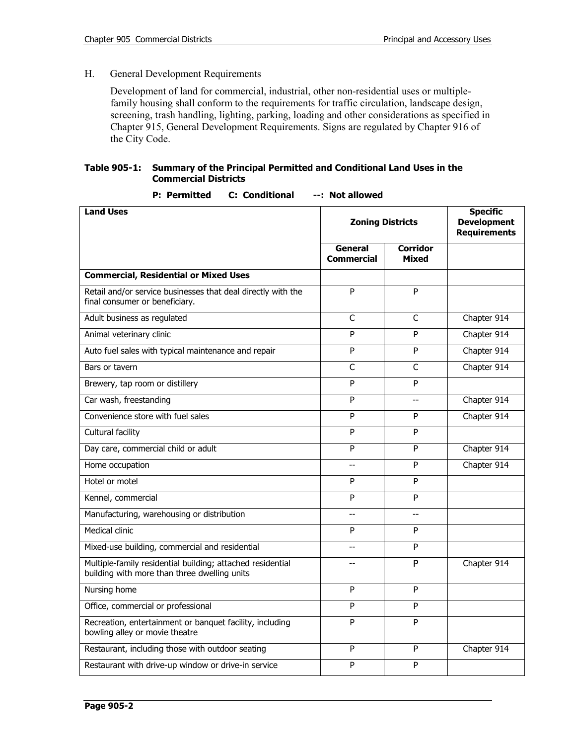## H. General Development Requirements

Development of land for commercial, industrial, other non-residential uses or multiplefamily housing shall conform to the requirements for traffic circulation, landscape design, screening, trash handling, lighting, parking, loading and other considerations as specified in Chapter 915, General Development Requirements. Signs are regulated by Chapter 916 of the City Code.

### **Table 905-1: Summary of the Principal Permitted and Conditional Land Uses in the Commercial Districts**

| <b>Land Uses</b>                                                                                           | <b>Zoning Districts</b>      | <b>Specific</b><br><b>Development</b><br><b>Requirements</b> |             |
|------------------------------------------------------------------------------------------------------------|------------------------------|--------------------------------------------------------------|-------------|
|                                                                                                            | General<br><b>Commercial</b> | <b>Corridor</b><br>Mixed                                     |             |
| <b>Commercial, Residential or Mixed Uses</b>                                                               |                              |                                                              |             |
| Retail and/or service businesses that deal directly with the<br>final consumer or beneficiary.             | P                            | P                                                            |             |
| Adult business as regulated                                                                                | $\mathsf{C}$                 | $\mathsf{C}$                                                 | Chapter 914 |
| Animal veterinary clinic                                                                                   | Þ                            | P                                                            | Chapter 914 |
| Auto fuel sales with typical maintenance and repair                                                        | P                            | P                                                            | Chapter 914 |
| Bars or tavern                                                                                             | $\mathsf{C}$                 | C                                                            | Chapter 914 |
| Brewery, tap room or distillery                                                                            | P                            | P                                                            |             |
| Car wash, freestanding                                                                                     | P                            | --                                                           | Chapter 914 |
| Convenience store with fuel sales                                                                          | P                            | P                                                            | Chapter 914 |
| Cultural facility                                                                                          | $\overline{P}$               | P                                                            |             |
| Day care, commercial child or adult                                                                        | P                            | P                                                            | Chapter 914 |
| Home occupation                                                                                            | $\sim$                       | P                                                            | Chapter 914 |
| Hotel or motel                                                                                             | P                            | P                                                            |             |
| Kennel, commercial                                                                                         | P                            | P                                                            |             |
| Manufacturing, warehousing or distribution                                                                 | $\sim$                       | --                                                           |             |
| Medical clinic                                                                                             | P                            | P                                                            |             |
| Mixed-use building, commercial and residential                                                             | $\overline{a}$               | P                                                            |             |
| Multiple-family residential building; attached residential<br>building with more than three dwelling units | $-$                          | P                                                            | Chapter 914 |
| Nursing home                                                                                               | P                            | P                                                            |             |
| Office, commercial or professional                                                                         | P                            | P                                                            |             |
| Recreation, entertainment or banquet facility, including<br>bowling alley or movie theatre                 | P                            | P                                                            |             |
| Restaurant, including those with outdoor seating                                                           | P                            | P                                                            | Chapter 914 |
| Restaurant with drive-up window or drive-in service                                                        | P                            | P                                                            |             |

### **P: Permitted C: Conditional --: Not allowed**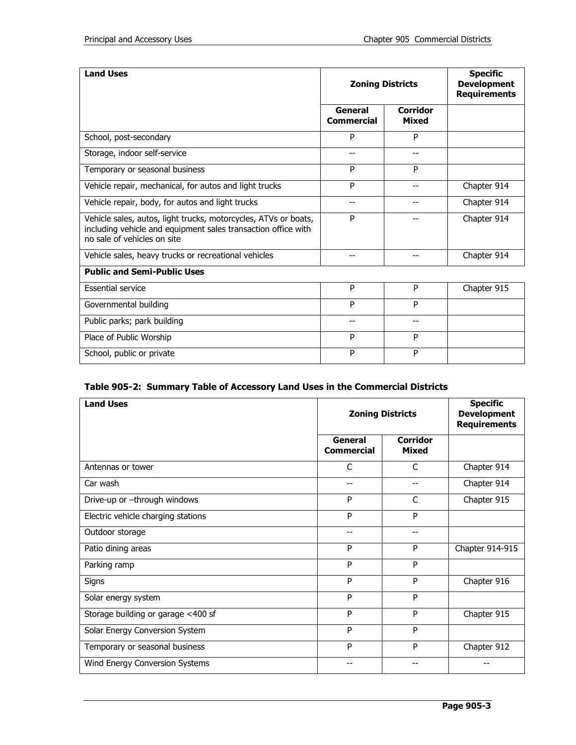| <b>Land Uses</b>                                                                                                                                                | <b>Zoning Districts</b>      |                          | <b>Specific</b><br><b>Development</b><br><b>Requirements</b> |
|-----------------------------------------------------------------------------------------------------------------------------------------------------------------|------------------------------|--------------------------|--------------------------------------------------------------|
|                                                                                                                                                                 | General<br><b>Commercial</b> | <b>Corridor</b><br>Mixed |                                                              |
| School, post-secondary                                                                                                                                          | P                            | P                        |                                                              |
| Storage, indoor self-service                                                                                                                                    | --                           | --                       |                                                              |
| Temporary or seasonal business                                                                                                                                  | P                            | P                        |                                                              |
| Vehicle repair, mechanical, for autos and light trucks                                                                                                          | P                            | --                       | Chapter 914                                                  |
| Vehicle repair, body, for autos and light trucks                                                                                                                | --                           | --                       | Chapter 914                                                  |
| Vehicle sales, autos, light trucks, motorcycles, ATVs or boats,<br>including vehicle and equipment sales transaction office with<br>no sale of vehicles on site | P                            | --                       | Chapter 914                                                  |
| Vehicle sales, heavy trucks or recreational vehicles                                                                                                            | --                           | --                       | Chapter 914                                                  |
| <b>Public and Semi-Public Uses</b>                                                                                                                              |                              |                          |                                                              |
| <b>Essential service</b>                                                                                                                                        | P                            | P                        | Chapter 915                                                  |
| Governmental building                                                                                                                                           | P                            | P                        |                                                              |
| Public parks; park building                                                                                                                                     | --                           | --                       |                                                              |
| Place of Public Worship                                                                                                                                         | P                            | P                        |                                                              |
| School, public or private                                                                                                                                       | P                            | P                        |                                                              |

# **Table 905-2: Summary Table of Accessory Land Uses in the Commercial Districts**

| <b>Land Uses</b>                   | <b>Zoning Districts</b>      |                                 | <b>Specific</b><br><b>Development</b><br><b>Requirements</b> |
|------------------------------------|------------------------------|---------------------------------|--------------------------------------------------------------|
|                                    | General<br><b>Commercial</b> | <b>Corridor</b><br><b>Mixed</b> |                                                              |
| Antennas or tower                  | C                            | $\mathsf{C}$                    | Chapter 914                                                  |
| Car wash                           | --                           | --                              | Chapter 914                                                  |
| Drive-up or -through windows       | P                            | C                               | Chapter 915                                                  |
| Electric vehicle charging stations | P                            | P                               |                                                              |
| Outdoor storage                    | --                           | --                              |                                                              |
| Patio dining areas                 | P                            | P                               | Chapter 914-915                                              |
| Parking ramp                       | P                            | P                               |                                                              |
| Signs                              | P                            | P                               | Chapter 916                                                  |
| Solar energy system                | P                            | P                               |                                                              |
| Storage building or garage <400 sf | P                            | P                               | Chapter 915                                                  |
| Solar Energy Conversion System     | P                            | P                               |                                                              |
| Temporary or seasonal business     | P                            | P                               | Chapter 912                                                  |
| Wind Energy Conversion Systems     | --                           | --                              |                                                              |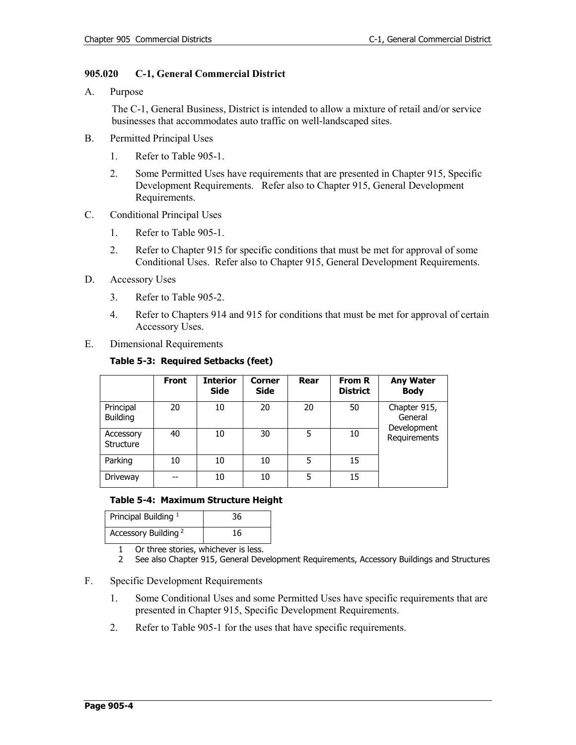### **905.020 C-1, General Commercial District**

A. Purpose

The C-1, General Business, District is intended to allow a mixture of retail and/or service businesses that accommodates auto traffic on well-landscaped sites.

- B. Permitted Principal Uses
	- 1. Refer to Table 905-1.
	- 2. Some Permitted Uses have requirements that are presented in Chapter 915, Specific Development Requirements. Refer also to Chapter 915, General Development Requirements.
- C. Conditional Principal Uses
	- 1. Refer to Table 905-1.
	- 2. Refer to Chapter 915 for specific conditions that must be met for approval of some Conditional Uses. Refer also to Chapter 915, General Development Requirements.
- D. Accessory Uses
	- 3. Refer to Table 905-2.
	- 4. Refer to Chapters 914 and 915 for conditions that must be met for approval of certain Accessory Uses.
- E. Dimensional Requirements

|                              | <b>Front</b> | <b>Interior</b><br><b>Side</b> | <b>Corner</b><br><b>Side</b> | Rear | From R<br><b>District</b> | <b>Any Water</b><br><b>Body</b>        |
|------------------------------|--------------|--------------------------------|------------------------------|------|---------------------------|----------------------------------------|
| Principal<br><b>Building</b> | 20           | 10                             | 20                           | 20   | 50                        | Chapter 915,<br>General<br>Development |
| Accessory<br>Structure       | 40           | 10                             | 30                           | 5    | 10                        | Requirements                           |
| Parking                      | 10           | 10                             | 10                           | 5    | 15                        |                                        |
| Driveway                     |              | 10                             | 10                           | 5    | 15                        |                                        |

### **Table 5-3: Required Setbacks (feet)**

### **Table 5-4: Maximum Structure Height**

| Principal Building <sup>1</sup> | 36 |
|---------------------------------|----|
| Accessory Building <sup>2</sup> | 16 |

1 Or three stories, whichever is less.<br>2 See also Chapter 915, General Dev

- 2 See also Chapter 915, General Development Requirements, Accessory Buildings and Structures
- F. Specific Development Requirements
	- 1. Some Conditional Uses and some Permitted Uses have specific requirements that are presented in Chapter 915, Specific Development Requirements.
	- 2. Refer to Table 905-1 for the uses that have specific requirements.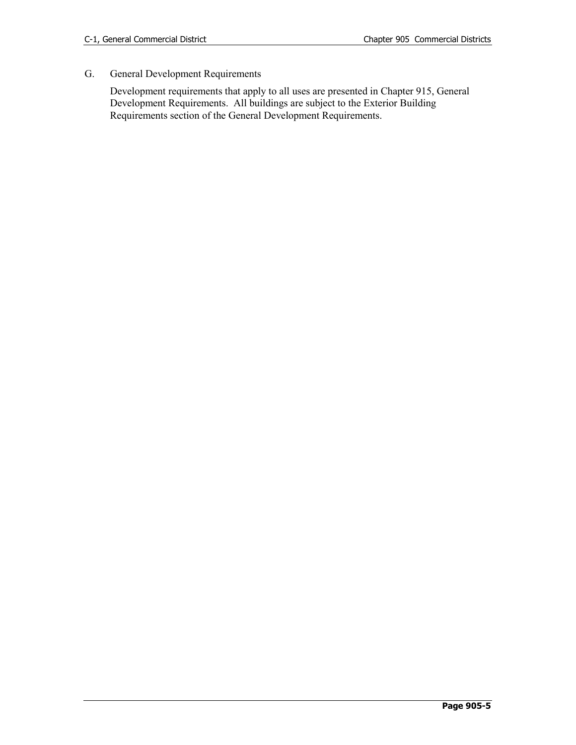# G. General Development Requirements

Development requirements that apply to all uses are presented in Chapter 915, General Development Requirements. All buildings are subject to the Exterior Building Requirements section of the General Development Requirements.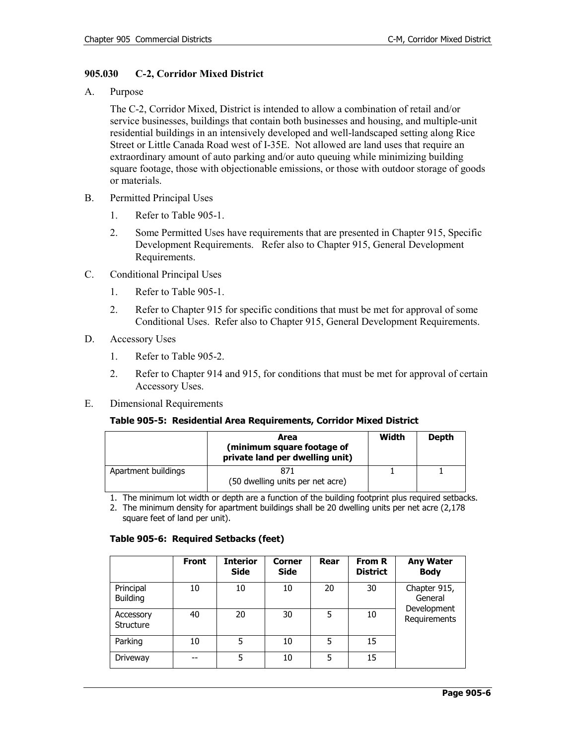### **905.030 C-2, Corridor Mixed District**

A. Purpose

The C-2, Corridor Mixed, District is intended to allow a combination of retail and/or service businesses, buildings that contain both businesses and housing, and multiple-unit residential buildings in an intensively developed and well-landscaped setting along Rice Street or Little Canada Road west of I-35E. Not allowed are land uses that require an extraordinary amount of auto parking and/or auto queuing while minimizing building square footage, those with objectionable emissions, or those with outdoor storage of goods or materials.

- B. Permitted Principal Uses
	- 1. Refer to Table 905-1.
	- 2. Some Permitted Uses have requirements that are presented in Chapter 915, Specific Development Requirements. Refer also to Chapter 915, General Development Requirements.
- C. Conditional Principal Uses
	- 1. Refer to Table 905-1.
	- 2. Refer to Chapter 915 for specific conditions that must be met for approval of some Conditional Uses. Refer also to Chapter 915, General Development Requirements.
- D. Accessory Uses
	- 1. Refer to Table 905-2.
	- 2. Refer to Chapter 914 and 915, for conditions that must be met for approval of certain Accessory Uses.
- E. Dimensional Requirements

#### **Table 905-5: Residential Area Requirements, Corridor Mixed District**

|                     | Area<br>(minimum square footage of<br>private land per dwelling unit) | Width | <b>Depth</b> |
|---------------------|-----------------------------------------------------------------------|-------|--------------|
| Apartment buildings | 871<br>(50 dwelling units per net acre)                               |       |              |

- 1. The minimum lot width or depth are a function of the building footprint plus required setbacks.
- 2. The minimum density for apartment buildings shall be 20 dwelling units per net acre (2,178 square feet of land per unit).

### **Table 905-6: Required Setbacks (feet)**

|                              | Front | <b>Interior</b><br><b>Side</b> | Corner<br><b>Side</b> | Rear | <b>From R</b><br><b>District</b> | <b>Any Water</b><br><b>Body</b> |
|------------------------------|-------|--------------------------------|-----------------------|------|----------------------------------|---------------------------------|
| Principal<br><b>Building</b> | 10    | 10                             | 10                    | 20   | 30                               | Chapter 915,<br>General         |
| Accessory<br>Structure       | 40    | 20                             | 30                    | 5    | 10                               | Development<br>Requirements     |
| Parking                      | 10    | 5                              | 10                    | 5    | 15                               |                                 |
| Driveway                     | --    | 5                              | 10                    | 5    | 15                               |                                 |